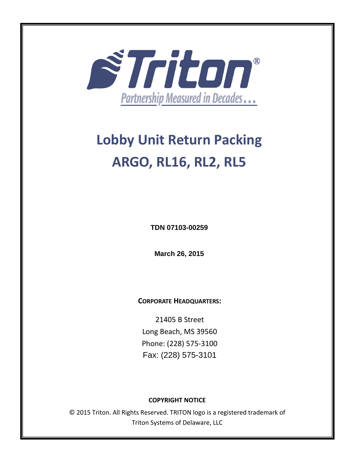

# **Lobby Unit Return Packing ARGO, RL16, RL2, RL5**

**TDN 07103-00259** 

**March 26, 2015**

**CORPORATE HEADQUARTERS:**

21405 B Street Long Beach, MS 39560 Phone: (228) 575‐3100 Fax: (228) 575-3101

#### **COPYRIGHT NOTICE**

© 2015 Triton. All Rights Reserved. TRITON logo is a registered trademark of Triton Systems of Delaware, LLC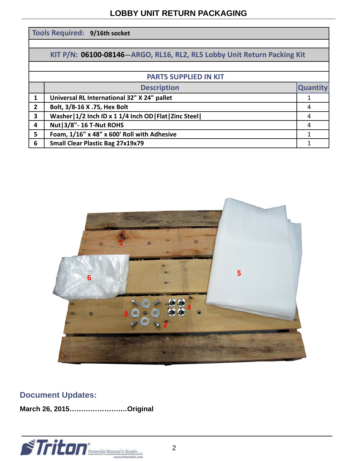#### **LOBBY UNIT RETURN PACKAGING**

| Tools Required: 9/16th socket                                           |                                                          |                 |
|-------------------------------------------------------------------------|----------------------------------------------------------|-----------------|
|                                                                         |                                                          |                 |
| KIT P/N: 06100-08146-ARGO, RL16, RL2, RL5 Lobby Unit Return Packing Kit |                                                          |                 |
|                                                                         |                                                          |                 |
| <b>PARTS SUPPLIED IN KIT</b>                                            |                                                          |                 |
|                                                                         | <b>Description</b>                                       | <b>Quantity</b> |
| 1                                                                       | Universal RL International 32" X 24" pallet              |                 |
| $\overline{2}$                                                          | Bolt, 3/8-16 X .75, Hex Bolt                             | 4               |
| $\overline{\mathbf{3}}$                                                 | Washer   1/2 Inch ID x 1 1/4 Inch OD   Flat   Zinc Steel | 4               |
| 4                                                                       | <b>Nut   3/8" - 16 T-Nut ROHS</b>                        | 4               |
| 5                                                                       | Foam, 1/16" x 48" x 600' Roll with Adhesive              | 1               |
| 6                                                                       | <b>Small Clear Plastic Bag 27x19x79</b>                  |                 |



### **Document Updates:**

**March 26, 2015………………….…Original**

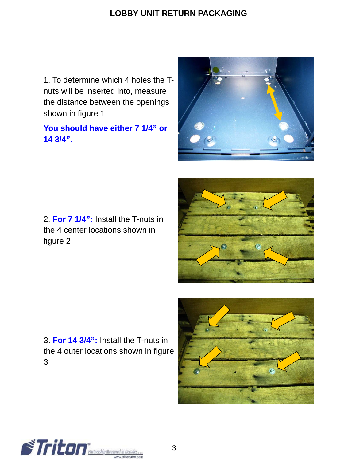1. To determine which 4 holes the Tnuts will be inserted into, measure the distance between the openings shown in figure 1.

## **You should have either 7 1/4" or 14 3/4".**



2. **For 7 1/4":** Install the T-nuts in the 4 center locations shown in figure 2



3. **For 14 3/4":** Install the T-nuts in the 4 outer locations shown in figure 3



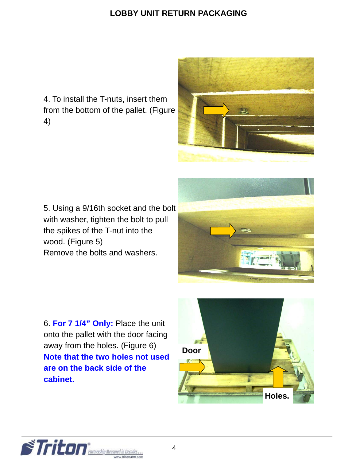4. To install the T-nuts, insert them from the bottom of the pallet. (Figure 4)



5. Using a 9/16th socket and the bolt with washer, tighten the bolt to pull the spikes of the T-nut into the wood. (Figure 5) Remove the bolts and washers.



6. **For 7 1/4" Only:** Place the unit onto the pallet with the door facing away from the holes. (Figure 6) **Note that the two holes not used are on the back side of the cabinet.** 



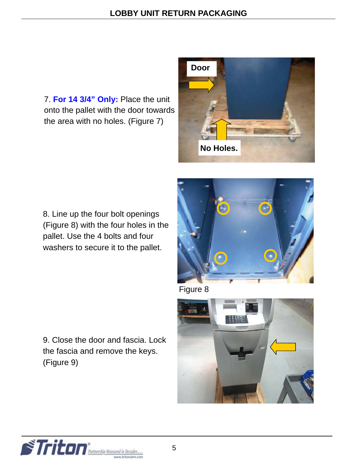7. **For 14 3/4" Only:** Place the unit onto the pallet with the door towards the area with no holes. (Figure 7)



8. Line up the four bolt openings (Figure 8) with the four holes in the pallet. Use the 4 bolts and four washers to secure it to the pallet.



Figure 8



9. Close the door and fascia. Lock the fascia and remove the keys. (Figure 9)